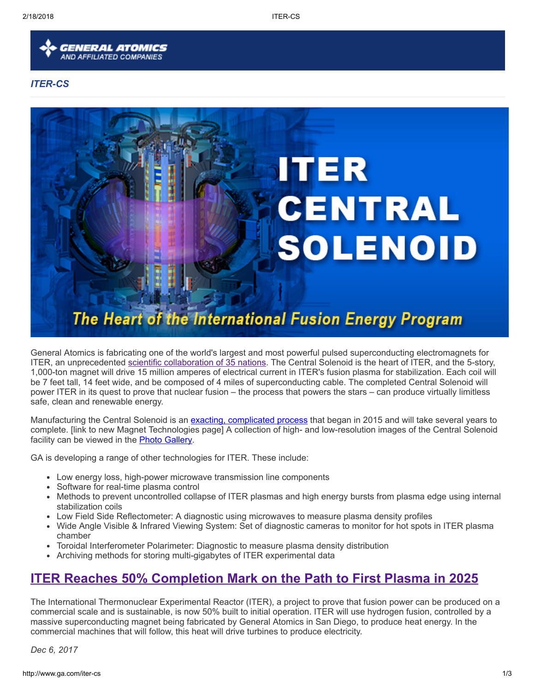

#### ITER-CS



General Atomics is fabricating one of the world's largest and most powerful pulsed superconducting electromagnets for ITER, an unprecedented scientific [collaboration](http://www.ga.com/international-iter-project) of 35 nations. The Central Solenoid is the heart of ITER, and the 5-story, 1,000-ton magnet will drive 15 million amperes of electrical current in ITER's fusion plasma for stabilization. Each coil will be 7 feet tall, 14 feet wide, and be composed of 4 miles of superconducting cable. The completed Central Solenoid will power ITER in its quest to prove that nuclear fusion – the process that powers the stars – can produce virtually limitless safe, clean and renewable energy.

Manufacturing the Central Solenoid is an exacting, [complicated](http://www.ga.com/magnet-technologies) process that began in 2015 and will take several years to complete. [link to new Magnet Technologies page] A collection of high- and low-resolution images of the Central Solenoid facility can be viewed in the **Photo [Gallery](http://www.ga.com/central-solenoid-photo-gallery)**.

GA is developing a range of other technologies for ITER. These include:

- Low energy loss, high-power microwave transmission line components
- Software for real-time plasma control
- Methods to prevent uncontrolled collapse of ITER plasmas and high energy bursts from plasma edge using internal stabilization coils
- Low Field Side Reflectometer: A diagnostic using microwaves to measure plasma density profiles
- Wide Angle Visible & Infrared Viewing System: Set of diagnostic cameras to monitor for hot spots in ITER plasma chamber
- Toroidal Interferometer Polarimeter: Diagnostic to measure plasma density distribution
- Archiving methods for storing multi-gigabytes of ITER experimental data

## ITER Reaches 50% [Completion](https://www.iter.org/worldsmostcomplexmachine50percentcomplete) Mark on the Path to First Plasma in 2025

The International Thermonuclear Experimental Reactor (ITER), a project to prove that fusion power can be produced on a commercial scale and is sustainable, is now 50% built to initial operation. ITER will use hydrogen fusion, controlled by a massive superconducting magnet being fabricated by General Atomics in San Diego, to produce heat energy. In the commercial machines that will follow, this heat will drive turbines to produce electricity.

Dec 6, 2017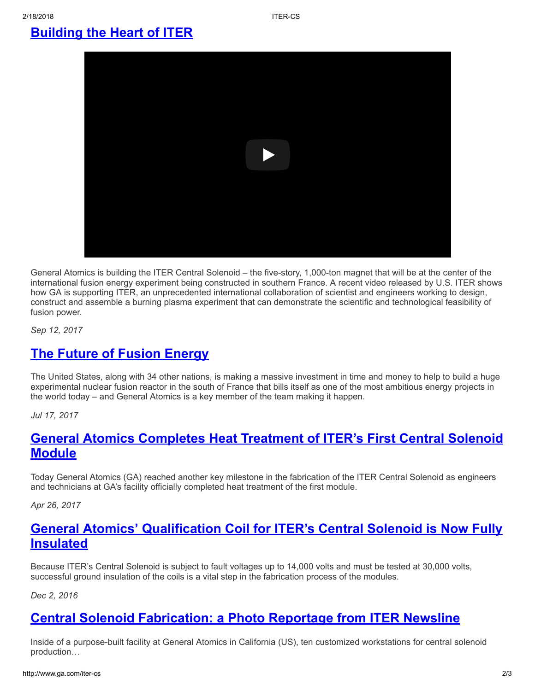### [Building](http://www.ga.com/building-the-heart-of-iter) the Heart of ITER



General Atomics is building the ITER Central Solenoid – the five-story, 1,000-ton magnet that will be at the center of the international fusion energy experiment being constructed in southern France. A recent video released by U.S. ITER shows how GA is supporting ITER, an unprecedented international collaboration of scientist and engineers working to design, construct and assemble a burning plasma experiment that can demonstrate the scientific and technological feasibility of fusion power.

Sep 12, 2017

### **The Future of Fusion [Energy](https://www.insidescience.org/video/future-fusion-energy)**

The United States, along with 34 other nations, is making a massive investment in time and money to help to build a huge experimental nuclear fusion reactor in the south of France that bills itself as one of the most ambitious energy projects in the world today – and General Atomics is a key member of the team making it happen.

Jul 17, 2017

### General Atomics [Completes](http://www.ga.com/general-atomics-completes-heat-treatment-of-iters-first-central-solenoid-module) Heat Treatment of ITER's First Central Solenoid **Module**

Today General Atomics (GA) reached another key milestone in the fabrication of the ITER Central Solenoid as engineers and technicians at GA's facility officially completed heat treatment of the first module.

Apr 26, 2017

### General Atomics' [Qualification](http://www.ga.com/general-atomics-qualification-coil-for-iters-central-solenoid-is-now-fully-insulated) Coil for ITER's Central Solenoid is Now Fully Insulated

Because ITER's Central Solenoid is subject to fault voltages up to 14,000 volts and must be tested at 30,000 volts, successful ground insulation of the coils is a vital step in the fabrication process of the modules.

Dec 2, 2016

### Central Solenoid [Fabrication:](http://www.ga.com/central-solenoid-fabrication-a-photo-reportage-from-iter-newsline) a Photo Reportage from ITER Newsline

Inside of a purpose-built facility at General Atomics in California (US), ten customized workstations for central solenoid production…